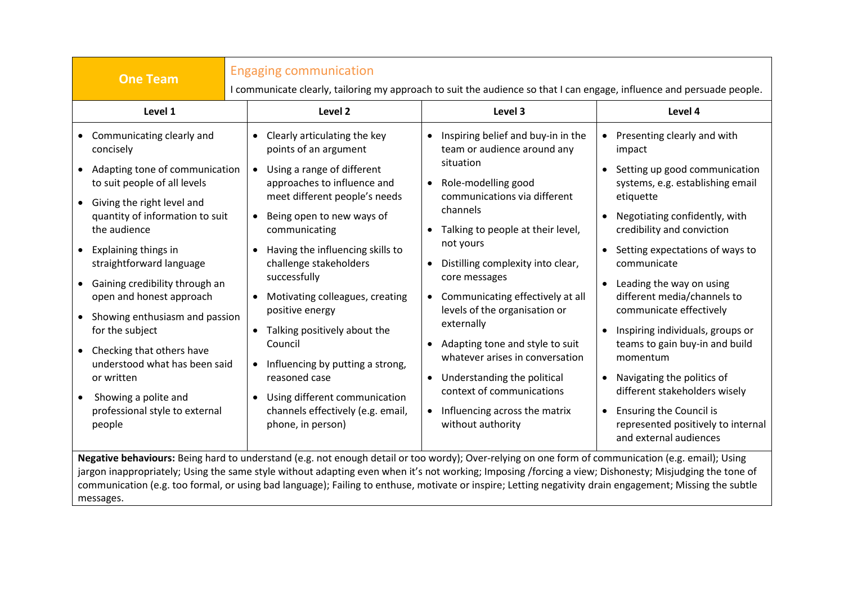| <b>One Team</b>                                                                                                                                                                                                                                                                                                                                                                                                                                                                                                                                | <b>Engaging communication</b><br>I communicate clearly, tailoring my approach to suit the audience so that I can engage, influence and persuade people.                                                                                                                                                                                                                                                                                                                                                                                                                 |                                                                                                                                                                                                                                                                                                                                                                                                                                                                                                                                                           |                                                                                                                                                                                                                                                                                                                                                                                                                                                                                                                                                                                                                 |
|------------------------------------------------------------------------------------------------------------------------------------------------------------------------------------------------------------------------------------------------------------------------------------------------------------------------------------------------------------------------------------------------------------------------------------------------------------------------------------------------------------------------------------------------|-------------------------------------------------------------------------------------------------------------------------------------------------------------------------------------------------------------------------------------------------------------------------------------------------------------------------------------------------------------------------------------------------------------------------------------------------------------------------------------------------------------------------------------------------------------------------|-----------------------------------------------------------------------------------------------------------------------------------------------------------------------------------------------------------------------------------------------------------------------------------------------------------------------------------------------------------------------------------------------------------------------------------------------------------------------------------------------------------------------------------------------------------|-----------------------------------------------------------------------------------------------------------------------------------------------------------------------------------------------------------------------------------------------------------------------------------------------------------------------------------------------------------------------------------------------------------------------------------------------------------------------------------------------------------------------------------------------------------------------------------------------------------------|
| Level 1                                                                                                                                                                                                                                                                                                                                                                                                                                                                                                                                        | Level 2                                                                                                                                                                                                                                                                                                                                                                                                                                                                                                                                                                 | Level 3                                                                                                                                                                                                                                                                                                                                                                                                                                                                                                                                                   | Level 4                                                                                                                                                                                                                                                                                                                                                                                                                                                                                                                                                                                                         |
| • Communicating clearly and<br>concisely<br>Adapting tone of communication<br>$\bullet$<br>to suit people of all levels<br>• Giving the right level and<br>quantity of information to suit<br>the audience<br><b>Explaining things in</b><br>straightforward language<br>• Gaining credibility through an<br>open and honest approach<br>• Showing enthusiasm and passion<br>for the subject<br>• Checking that others have<br>understood what has been said<br>or written<br>Showing a polite and<br>professional style to external<br>people | Clearly articulating the key<br>$\bullet$<br>points of an argument<br>Using a range of different<br>approaches to influence and<br>meet different people's needs<br>Being open to new ways of<br>communicating<br>Having the influencing skills to<br>challenge stakeholders<br>successfully<br>Motivating colleagues, creating<br>positive energy<br>Talking positively about the<br>$\bullet$<br>Council<br>Influencing by putting a strong,<br>$\bullet$<br>reasoned case<br>Using different communication<br>channels effectively (e.g. email,<br>phone, in person) | • Inspiring belief and buy-in in the<br>team or audience around any<br>situation<br>• Role-modelling good<br>communications via different<br>channels<br>Talking to people at their level,<br>not yours<br>Distilling complexity into clear,<br>core messages<br>• Communicating effectively at all<br>levels of the organisation or<br>externally<br>Adapting tone and style to suit<br>whatever arises in conversation<br>Understanding the political<br>$\bullet$<br>context of communications<br>• Influencing across the matrix<br>without authority | • Presenting clearly and with<br>impact<br>Setting up good communication<br>systems, e.g. establishing email<br>etiquette<br>Negotiating confidently, with<br>credibility and conviction<br>Setting expectations of ways to<br>communicate<br>Leading the way on using<br>$\bullet$<br>different media/channels to<br>communicate effectively<br>Inspiring individuals, groups or<br>$\bullet$<br>teams to gain buy-in and build<br>momentum<br>• Navigating the politics of<br>different stakeholders wisely<br><b>Ensuring the Council is</b><br>represented positively to internal<br>and external audiences |
| Negative behaviours: Being hard to understand (e.g. not enough detail or too wordy); Over-relying on one form of communication (e.g. email); Using<br>jargon inappropriately; Using the same style without adapting even when it's not working; Imposing /forcing a view; Dishonesty; Misjudging the tone of<br>communication (e.g. too formal, or using bad language); Failing to enthuse, motivate or inspire; Letting negativity drain engagement; Missing the subtle                                                                       |                                                                                                                                                                                                                                                                                                                                                                                                                                                                                                                                                                         |                                                                                                                                                                                                                                                                                                                                                                                                                                                                                                                                                           |                                                                                                                                                                                                                                                                                                                                                                                                                                                                                                                                                                                                                 |

messages.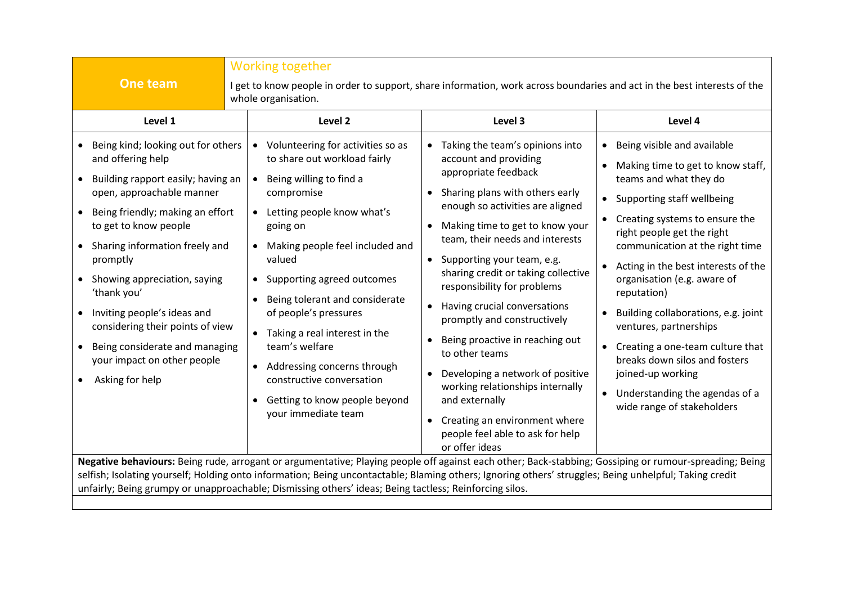|                                                                                                                                                                                                                                                                                                                                                                                                                                                       | <b>Working together</b>                                                                                                                                                                                                                                                                                                                                                                                                                                                                                                            |                                                                                                                                                                                                                                                                                                                                                                                                                                                                                                                                                                                                                                                                      |                                                                                                                                                                                                                                                                                                                                                                                                                                                                                                                                                 |
|-------------------------------------------------------------------------------------------------------------------------------------------------------------------------------------------------------------------------------------------------------------------------------------------------------------------------------------------------------------------------------------------------------------------------------------------------------|------------------------------------------------------------------------------------------------------------------------------------------------------------------------------------------------------------------------------------------------------------------------------------------------------------------------------------------------------------------------------------------------------------------------------------------------------------------------------------------------------------------------------------|----------------------------------------------------------------------------------------------------------------------------------------------------------------------------------------------------------------------------------------------------------------------------------------------------------------------------------------------------------------------------------------------------------------------------------------------------------------------------------------------------------------------------------------------------------------------------------------------------------------------------------------------------------------------|-------------------------------------------------------------------------------------------------------------------------------------------------------------------------------------------------------------------------------------------------------------------------------------------------------------------------------------------------------------------------------------------------------------------------------------------------------------------------------------------------------------------------------------------------|
| One team                                                                                                                                                                                                                                                                                                                                                                                                                                              | I get to know people in order to support, share information, work across boundaries and act in the best interests of the<br>whole organisation.                                                                                                                                                                                                                                                                                                                                                                                    |                                                                                                                                                                                                                                                                                                                                                                                                                                                                                                                                                                                                                                                                      |                                                                                                                                                                                                                                                                                                                                                                                                                                                                                                                                                 |
| Level 1                                                                                                                                                                                                                                                                                                                                                                                                                                               | Level <sub>2</sub>                                                                                                                                                                                                                                                                                                                                                                                                                                                                                                                 | Level 3                                                                                                                                                                                                                                                                                                                                                                                                                                                                                                                                                                                                                                                              | Level 4                                                                                                                                                                                                                                                                                                                                                                                                                                                                                                                                         |
| Being kind; looking out for others<br>and offering help<br>• Building rapport easily; having an<br>open, approachable manner<br>Being friendly; making an effort<br>to get to know people<br>• Sharing information freely and<br>promptly<br>• Showing appreciation, saying<br>'thank you'<br>• Inviting people's ideas and<br>considering their points of view<br>• Being considerate and managing<br>your impact on other people<br>Asking for help | Volunteering for activities so as<br>to share out workload fairly<br>Being willing to find a<br>compromise<br>Letting people know what's<br>$\bullet$<br>going on<br>Making people feel included and<br>valued<br>Supporting agreed outcomes<br>$\bullet$<br>Being tolerant and considerate<br>$\bullet$<br>of people's pressures<br>Taking a real interest in the<br>team's welfare<br>Addressing concerns through<br>$\bullet$<br>constructive conversation<br>Getting to know people beyond<br>$\bullet$<br>your immediate team | Taking the team's opinions into<br>account and providing<br>appropriate feedback<br>• Sharing plans with others early<br>enough so activities are aligned<br>Making time to get to know your<br>team, their needs and interests<br>• Supporting your team, e.g.<br>sharing credit or taking collective<br>responsibility for problems<br>Having crucial conversations<br>$\bullet$<br>promptly and constructively<br>Being proactive in reaching out<br>to other teams<br>Developing a network of positive<br>working relationships internally<br>and externally<br>Creating an environment where<br>$\bullet$<br>people feel able to ask for help<br>or offer ideas | Being visible and available<br>Making time to get to know staff,<br>teams and what they do<br>Supporting staff wellbeing<br>Creating systems to ensure the<br>right people get the right<br>communication at the right time<br>Acting in the best interests of the<br>organisation (e.g. aware of<br>reputation)<br>Building collaborations, e.g. joint<br>ventures, partnerships<br>• Creating a one-team culture that<br>breaks down silos and fosters<br>joined-up working<br>• Understanding the agendas of a<br>wide range of stakeholders |
| Negative behaviours: Being rude, arrogant or argumentative; Playing people off against each other; Back-stabbing; Gossiping or rumour-spreading; Being<br>selfish; Isolating yourself; Holding onto information; Being uncontactable; Blaming others; Ignoring others' struggles; Being unhelpful; Taking credit<br>unfairly; Being grumpy or unapproachable; Dismissing others' ideas; Being tactless; Reinforcing silos.                            |                                                                                                                                                                                                                                                                                                                                                                                                                                                                                                                                    |                                                                                                                                                                                                                                                                                                                                                                                                                                                                                                                                                                                                                                                                      |                                                                                                                                                                                                                                                                                                                                                                                                                                                                                                                                                 |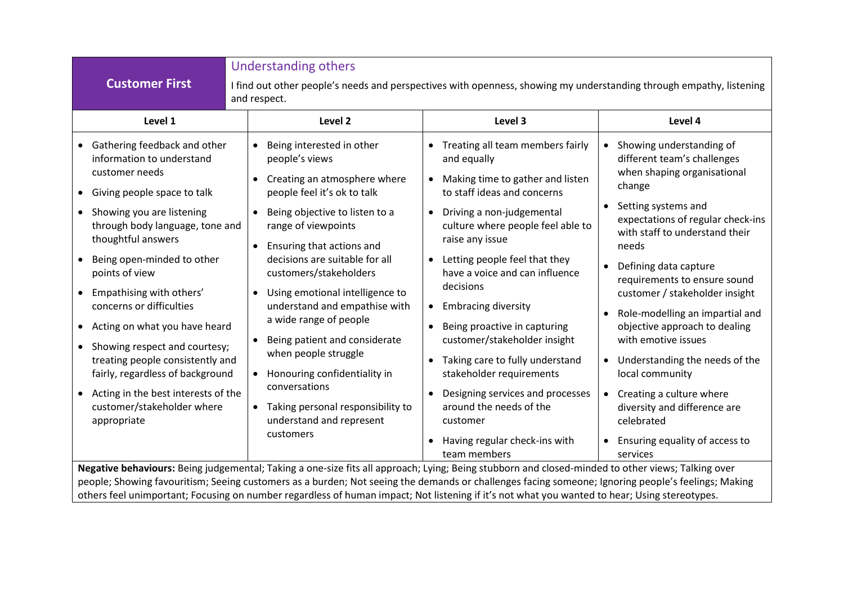|                                                                                                                                                                                                                                                                                                                                                                                                                                                                                                                                                                              | <b>Understanding others</b>                                                                                                                                                                                                                                                                                                                                                                                                                                                                                                                                                                                         |                                                                                                                                                                                                                                                                                                                                                                                                                                                                                                                                                                                                                                      |                                                                                                                                                                                                                                                                                                                                                                                                                                                                                                                                                                                                      |
|------------------------------------------------------------------------------------------------------------------------------------------------------------------------------------------------------------------------------------------------------------------------------------------------------------------------------------------------------------------------------------------------------------------------------------------------------------------------------------------------------------------------------------------------------------------------------|---------------------------------------------------------------------------------------------------------------------------------------------------------------------------------------------------------------------------------------------------------------------------------------------------------------------------------------------------------------------------------------------------------------------------------------------------------------------------------------------------------------------------------------------------------------------------------------------------------------------|--------------------------------------------------------------------------------------------------------------------------------------------------------------------------------------------------------------------------------------------------------------------------------------------------------------------------------------------------------------------------------------------------------------------------------------------------------------------------------------------------------------------------------------------------------------------------------------------------------------------------------------|------------------------------------------------------------------------------------------------------------------------------------------------------------------------------------------------------------------------------------------------------------------------------------------------------------------------------------------------------------------------------------------------------------------------------------------------------------------------------------------------------------------------------------------------------------------------------------------------------|
| <b>Customer First</b>                                                                                                                                                                                                                                                                                                                                                                                                                                                                                                                                                        | I find out other people's needs and perspectives with openness, showing my understanding through empathy, listening<br>and respect.                                                                                                                                                                                                                                                                                                                                                                                                                                                                                 |                                                                                                                                                                                                                                                                                                                                                                                                                                                                                                                                                                                                                                      |                                                                                                                                                                                                                                                                                                                                                                                                                                                                                                                                                                                                      |
| Level 1                                                                                                                                                                                                                                                                                                                                                                                                                                                                                                                                                                      | Level 2                                                                                                                                                                                                                                                                                                                                                                                                                                                                                                                                                                                                             | Level 3                                                                                                                                                                                                                                                                                                                                                                                                                                                                                                                                                                                                                              | Level 4                                                                                                                                                                                                                                                                                                                                                                                                                                                                                                                                                                                              |
| • Gathering feedback and other<br>information to understand<br>customer needs<br>• Giving people space to talk<br>• Showing you are listening<br>through body language, tone and<br>thoughtful answers<br>Being open-minded to other<br>$\bullet$<br>points of view<br>Empathising with others'<br>$\bullet$<br>concerns or difficulties<br>• Acting on what you have heard<br>• Showing respect and courtesy;<br>treating people consistently and<br>fairly, regardless of background<br>• Acting in the best interests of the<br>customer/stakeholder where<br>appropriate | Being interested in other<br>$\bullet$<br>people's views<br>Creating an atmosphere where<br>$\bullet$<br>people feel it's ok to talk<br>Being objective to listen to a<br>range of viewpoints<br>Ensuring that actions and<br>$\bullet$<br>decisions are suitable for all<br>customers/stakeholders<br>Using emotional intelligence to<br>$\bullet$<br>understand and empathise with<br>a wide range of people<br>Being patient and considerate<br>when people struggle<br>Honouring confidentiality in<br>$\bullet$<br>conversations<br>Taking personal responsibility to<br>understand and represent<br>customers | Treating all team members fairly<br>and equally<br>Making time to gather and listen<br>to staff ideas and concerns<br>Driving a non-judgemental<br>$\bullet$<br>culture where people feel able to<br>raise any issue<br>Letting people feel that they<br>$\bullet$<br>have a voice and can influence<br>decisions<br><b>Embracing diversity</b><br>$\bullet$<br>Being proactive in capturing<br>$\bullet$<br>customer/stakeholder insight<br>Taking care to fully understand<br>stakeholder requirements<br>Designing services and processes<br>around the needs of the<br>customer<br>Having regular check-ins with<br>team members | Showing understanding of<br>different team's challenges<br>when shaping organisational<br>change<br>Setting systems and<br>expectations of regular check-ins<br>with staff to understand their<br>needs<br>Defining data capture<br>$\bullet$<br>requirements to ensure sound<br>customer / stakeholder insight<br>Role-modelling an impartial and<br>objective approach to dealing<br>with emotive issues<br>Understanding the needs of the<br>$\bullet$<br>local community<br>Creating a culture where<br>diversity and difference are<br>celebrated<br>Ensuring equality of access to<br>services |
| Negative behaviours: Being judgemental; Taking a one-size fits all approach; Lying; Being stubborn and closed-minded to other views; Talking over<br>people; Showing favouritism; Seeing customers as a burden; Not seeing the demands or challenges facing someone; Ignoring people's feelings; Making<br>others feel unimportant; Focusing on number regardless of human impact; Not listening if it's not what you wanted to hear; Using stereotypes.                                                                                                                     |                                                                                                                                                                                                                                                                                                                                                                                                                                                                                                                                                                                                                     |                                                                                                                                                                                                                                                                                                                                                                                                                                                                                                                                                                                                                                      |                                                                                                                                                                                                                                                                                                                                                                                                                                                                                                                                                                                                      |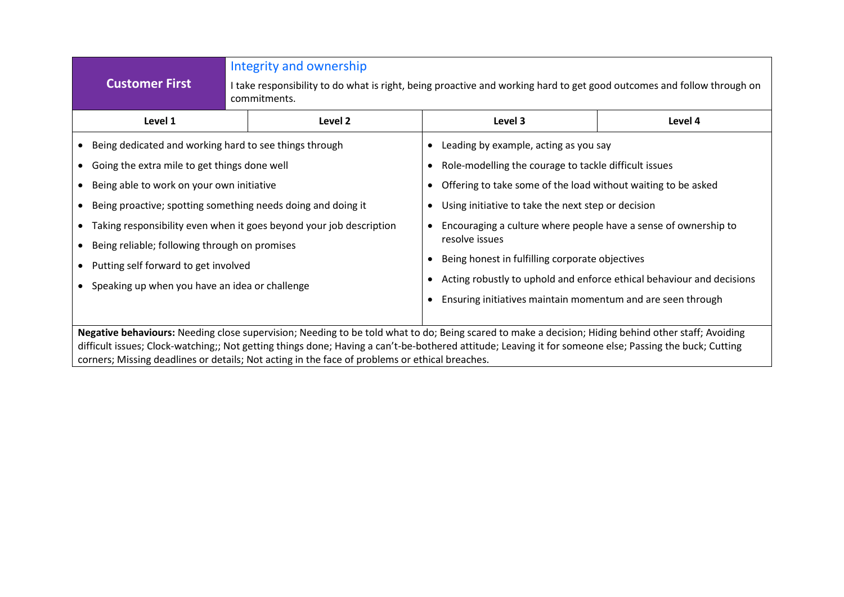|                                                                                                                                                                                                                                                                                                                                                                                                                  |                                                                                                                 | Integrity and ownership                                                                                                                |                                                                       |         |  |
|------------------------------------------------------------------------------------------------------------------------------------------------------------------------------------------------------------------------------------------------------------------------------------------------------------------------------------------------------------------------------------------------------------------|-----------------------------------------------------------------------------------------------------------------|----------------------------------------------------------------------------------------------------------------------------------------|-----------------------------------------------------------------------|---------|--|
|                                                                                                                                                                                                                                                                                                                                                                                                                  | <b>Customer First</b>                                                                                           | I take responsibility to do what is right, being proactive and working hard to get good outcomes and follow through on<br>commitments. |                                                                       |         |  |
|                                                                                                                                                                                                                                                                                                                                                                                                                  | Level 1                                                                                                         | Level 2                                                                                                                                | Level 3                                                               | Level 4 |  |
|                                                                                                                                                                                                                                                                                                                                                                                                                  |                                                                                                                 | • Being dedicated and working hard to see things through<br>Leading by example, acting as you say                                      |                                                                       |         |  |
|                                                                                                                                                                                                                                                                                                                                                                                                                  | • Going the extra mile to get things done well                                                                  |                                                                                                                                        | Role-modelling the courage to tackle difficult issues                 |         |  |
|                                                                                                                                                                                                                                                                                                                                                                                                                  | • Being able to work on your own initiative                                                                     |                                                                                                                                        | Offering to take some of the load without waiting to be asked         |         |  |
|                                                                                                                                                                                                                                                                                                                                                                                                                  | • Being proactive; spotting something needs doing and doing it                                                  |                                                                                                                                        | Using initiative to take the next step or decision                    |         |  |
| • Taking responsibility even when it goes beyond your job description                                                                                                                                                                                                                                                                                                                                            |                                                                                                                 | Encouraging a culture where people have a sense of ownership to<br>resolve issues                                                      |                                                                       |         |  |
|                                                                                                                                                                                                                                                                                                                                                                                                                  | • Being reliable; following through on promises                                                                 |                                                                                                                                        | Being honest in fulfilling corporate objectives                       |         |  |
|                                                                                                                                                                                                                                                                                                                                                                                                                  | • Putting self forward to get involved                                                                          |                                                                                                                                        | Acting robustly to uphold and enforce ethical behaviour and decisions |         |  |
|                                                                                                                                                                                                                                                                                                                                                                                                                  | • Speaking up when you have an idea or challenge<br>Ensuring initiatives maintain momentum and are seen through |                                                                                                                                        |                                                                       |         |  |
| Negative behaviours: Needing close supervision; Needing to be told what to do; Being scared to make a decision; Hiding behind other staff; Avoiding<br>difficult issues; Clock-watching;; Not getting things done; Having a can't-be-bothered attitude; Leaving it for someone else; Passing the buck; Cutting<br>corners; Missing deadlines or details; Not acting in the face of problems or ethical breaches. |                                                                                                                 |                                                                                                                                        |                                                                       |         |  |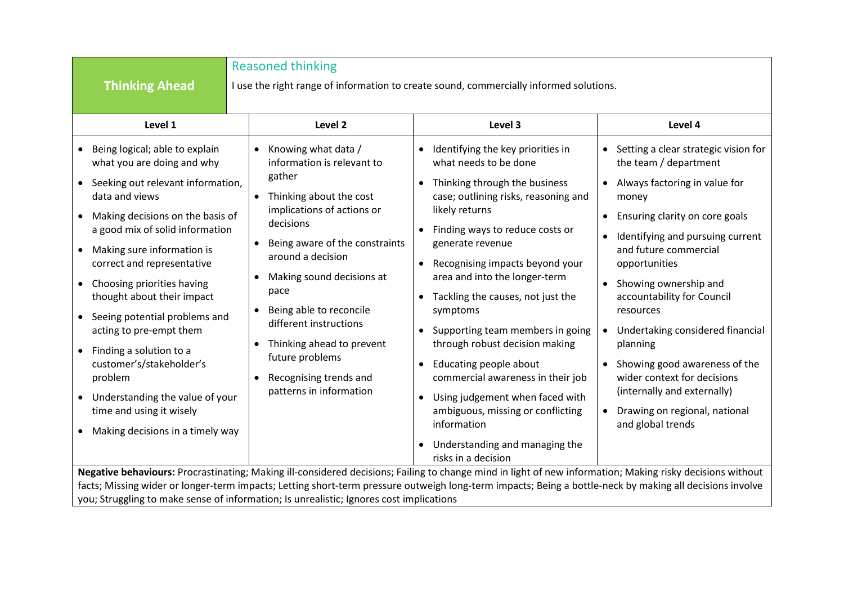|                                                                                                                                                                                                                                                                                                                                                                                                                                                                                                                                                                                                               | <b>Reasoned thinking</b>                                                                                                                                                                                                                                                                                                                                                                                                         |                                                                                                                                                                                                                                                                                                                                                                                                                                                                                                                                                                                                                                                                                 |                                                                                                                                                                                                                                                                                                                                                                                                                                                                                                                     |
|---------------------------------------------------------------------------------------------------------------------------------------------------------------------------------------------------------------------------------------------------------------------------------------------------------------------------------------------------------------------------------------------------------------------------------------------------------------------------------------------------------------------------------------------------------------------------------------------------------------|----------------------------------------------------------------------------------------------------------------------------------------------------------------------------------------------------------------------------------------------------------------------------------------------------------------------------------------------------------------------------------------------------------------------------------|---------------------------------------------------------------------------------------------------------------------------------------------------------------------------------------------------------------------------------------------------------------------------------------------------------------------------------------------------------------------------------------------------------------------------------------------------------------------------------------------------------------------------------------------------------------------------------------------------------------------------------------------------------------------------------|---------------------------------------------------------------------------------------------------------------------------------------------------------------------------------------------------------------------------------------------------------------------------------------------------------------------------------------------------------------------------------------------------------------------------------------------------------------------------------------------------------------------|
| <b>Thinking Ahead</b>                                                                                                                                                                                                                                                                                                                                                                                                                                                                                                                                                                                         |                                                                                                                                                                                                                                                                                                                                                                                                                                  | I use the right range of information to create sound, commercially informed solutions.                                                                                                                                                                                                                                                                                                                                                                                                                                                                                                                                                                                          |                                                                                                                                                                                                                                                                                                                                                                                                                                                                                                                     |
| Level 1                                                                                                                                                                                                                                                                                                                                                                                                                                                                                                                                                                                                       | Level <sub>2</sub>                                                                                                                                                                                                                                                                                                                                                                                                               | Level 3                                                                                                                                                                                                                                                                                                                                                                                                                                                                                                                                                                                                                                                                         | Level 4                                                                                                                                                                                                                                                                                                                                                                                                                                                                                                             |
| Being logical; able to explain<br>what you are doing and why<br>• Seeking out relevant information,<br>data and views<br>Making decisions on the basis of<br>$\bullet$<br>a good mix of solid information<br>Making sure information is<br>$\bullet$<br>correct and representative<br>Choosing priorities having<br>$\bullet$<br>thought about their impact<br>• Seeing potential problems and<br>acting to pre-empt them<br>Finding a solution to a<br>customer's/stakeholder's<br>problem<br>• Understanding the value of your<br>time and using it wisely<br>Making decisions in a timely way<br>$\bullet$ | Knowing what data /<br>$\bullet$<br>information is relevant to<br>gather<br>• Thinking about the cost<br>implications of actions or<br>decisions<br>Being aware of the constraints<br>$\bullet$<br>around a decision<br>Making sound decisions at<br>$\bullet$<br>pace<br>Being able to reconcile<br>different instructions<br>Thinking ahead to prevent<br>future problems<br>Recognising trends and<br>patterns in information | Identifying the key priorities in<br>what needs to be done<br>Thinking through the business<br>$\bullet$<br>case; outlining risks, reasoning and<br>likely returns<br>Finding ways to reduce costs or<br>$\bullet$<br>generate revenue<br>Recognising impacts beyond your<br>area and into the longer-term<br>Tackling the causes, not just the<br>symptoms<br>Supporting team members in going<br>through robust decision making<br>Educating people about<br>$\bullet$<br>commercial awareness in their job<br>Using judgement when faced with<br>$\bullet$<br>ambiguous, missing or conflicting<br>information<br>Understanding and managing the<br>٠<br>risks in a decision | • Setting a clear strategic vision for<br>the team / department<br>• Always factoring in value for<br>money<br>Ensuring clarity on core goals<br>$\bullet$<br>Identifying and pursuing current<br>and future commercial<br>opportunities<br>Showing ownership and<br>accountability for Council<br>resources<br>• Undertaking considered financial<br>planning<br>Showing good awareness of the<br>wider context for decisions<br>(internally and externally)<br>Drawing on regional, national<br>and global trends |
| Negative behaviours: Procrastinating; Making ill-considered decisions; Failing to change mind in light of new information; Making risky decisions without<br>facts; Missing wider or longer-term impacts; Letting short-term pressure outweigh long-term impacts; Being a bottle-neck by making all decisions involve                                                                                                                                                                                                                                                                                         |                                                                                                                                                                                                                                                                                                                                                                                                                                  |                                                                                                                                                                                                                                                                                                                                                                                                                                                                                                                                                                                                                                                                                 |                                                                                                                                                                                                                                                                                                                                                                                                                                                                                                                     |

you; Struggling to make sense of information; Is unrealistic; Ignores cost implications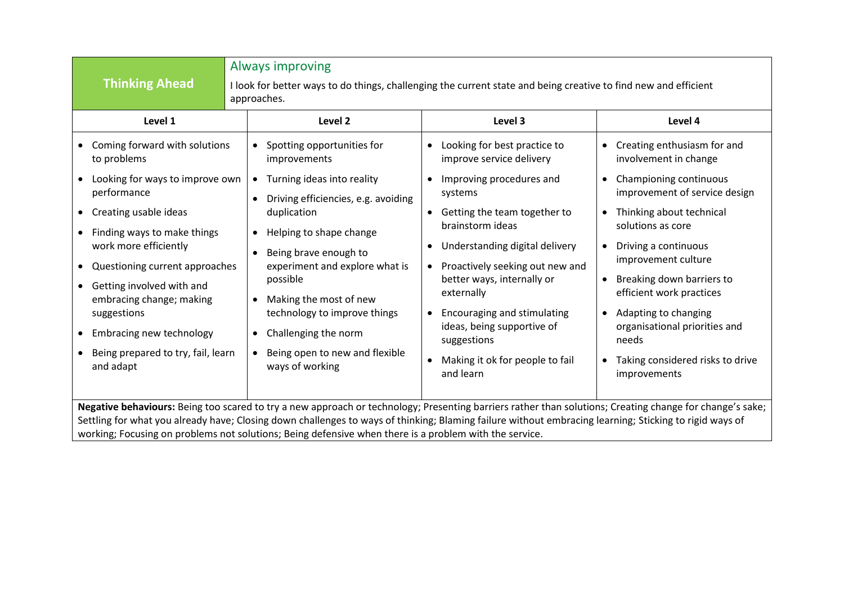| <b>Thinking Ahead</b>                                                                                                                                                                                                                                                                                                                                                                                                        | Always improving<br>I look for better ways to do things, challenging the current state and being creative to find new and efficient<br>approaches.                                                                                                                           |                                                                                                                                                                                                                                                                     |                                                                                                                                                                                                                            |
|------------------------------------------------------------------------------------------------------------------------------------------------------------------------------------------------------------------------------------------------------------------------------------------------------------------------------------------------------------------------------------------------------------------------------|------------------------------------------------------------------------------------------------------------------------------------------------------------------------------------------------------------------------------------------------------------------------------|---------------------------------------------------------------------------------------------------------------------------------------------------------------------------------------------------------------------------------------------------------------------|----------------------------------------------------------------------------------------------------------------------------------------------------------------------------------------------------------------------------|
| Level 1                                                                                                                                                                                                                                                                                                                                                                                                                      | Level <sub>2</sub>                                                                                                                                                                                                                                                           | Level 3                                                                                                                                                                                                                                                             | Level 4                                                                                                                                                                                                                    |
| Coming forward with solutions<br>$\bullet$<br>to problems<br>Looking for ways to improve own                                                                                                                                                                                                                                                                                                                                 | Spotting opportunities for<br>improvements<br>Turning ideas into reality<br>$\bullet$                                                                                                                                                                                        | Looking for best practice to<br>improve service delivery<br>Improving procedures and                                                                                                                                                                                | • Creating enthusiasm for and<br>involvement in change<br>Championing continuous<br>$\bullet$                                                                                                                              |
| performance                                                                                                                                                                                                                                                                                                                                                                                                                  | Driving efficiencies, e.g. avoiding                                                                                                                                                                                                                                          | systems                                                                                                                                                                                                                                                             | improvement of service design                                                                                                                                                                                              |
| Creating usable ideas                                                                                                                                                                                                                                                                                                                                                                                                        | duplication                                                                                                                                                                                                                                                                  | Getting the team together to<br>$\bullet$<br>brainstorm ideas                                                                                                                                                                                                       | Thinking about technical<br>$\bullet$<br>solutions as core                                                                                                                                                                 |
| Finding ways to make things<br>$\bullet$<br>work more efficiently<br>Questioning current approaches<br>$\bullet$<br>Getting involved with and<br>$\bullet$<br>embracing change; making<br>suggestions<br>Embracing new technology<br>$\bullet$<br>Being prepared to try, fail, learn<br>$\bullet$<br>and adapt                                                                                                               | Helping to shape change<br>$\bullet$<br>Being brave enough to<br>experiment and explore what is<br>possible<br>Making the most of new<br>$\bullet$<br>technology to improve things<br>Challenging the norm<br>$\bullet$<br>Being open to new and flexible<br>ways of working | Understanding digital delivery<br>Proactively seeking out new and<br>$\bullet$<br>better ways, internally or<br>externally<br>Encouraging and stimulating<br>$\bullet$<br>ideas, being supportive of<br>suggestions<br>Making it ok for people to fail<br>and learn | Driving a continuous<br>improvement culture<br>Breaking down barriers to<br>efficient work practices<br>Adapting to changing<br>organisational priorities and<br>needs<br>Taking considered risks to drive<br>improvements |
| Negative behaviours: Being too scared to try a new approach or technology; Presenting barriers rather than solutions; Creating change for change's sake;<br>Settling for what you already have; Closing down challenges to ways of thinking; Blaming failure without embracing learning; Sticking to rigid ways of<br>working; Focusing on problems not solutions; Being defensive when there is a problem with the service. |                                                                                                                                                                                                                                                                              |                                                                                                                                                                                                                                                                     |                                                                                                                                                                                                                            |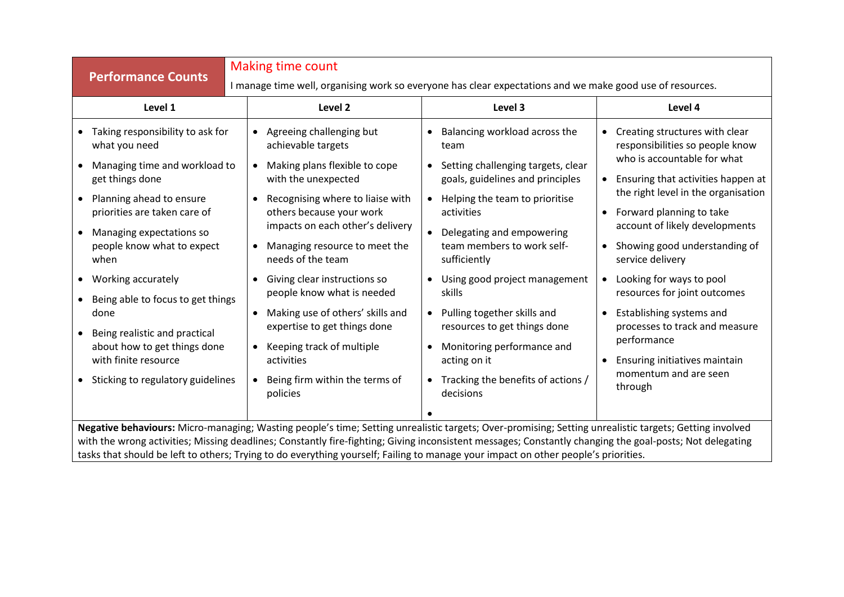|           | <b>Making time count</b>                                                                                                                                                                                                                                                                                                                                                                                                                                 |                                                                                                                                                                                |                                                                                                           |  |  |
|-----------|----------------------------------------------------------------------------------------------------------------------------------------------------------------------------------------------------------------------------------------------------------------------------------------------------------------------------------------------------------------------------------------------------------------------------------------------------------|--------------------------------------------------------------------------------------------------------------------------------------------------------------------------------|-----------------------------------------------------------------------------------------------------------|--|--|
|           | <b>Performance Counts</b>                                                                                                                                                                                                                                                                                                                                                                                                                                |                                                                                                                                                                                | I manage time well, organising work so everyone has clear expectations and we make good use of resources. |  |  |
|           | Level 1                                                                                                                                                                                                                                                                                                                                                                                                                                                  | Level <sub>2</sub><br>Level 3                                                                                                                                                  | Level 4                                                                                                   |  |  |
| $\bullet$ | Taking responsibility to ask for<br>what you need                                                                                                                                                                                                                                                                                                                                                                                                        | Balancing workload across the<br>• Agreeing challenging but<br>achievable targets<br>team                                                                                      | • Creating structures with clear<br>responsibilities so people know                                       |  |  |
|           | Managing time and workload to<br>get things done                                                                                                                                                                                                                                                                                                                                                                                                         | Setting challenging targets, clear<br>Making plans flexible to cope<br>$\bullet$<br>with the unexpected<br>goals, guidelines and principles                                    | who is accountable for what<br>• Ensuring that activities happen at                                       |  |  |
|           | Planning ahead to ensure<br>priorities are taken care of                                                                                                                                                                                                                                                                                                                                                                                                 | Recognising where to liaise with<br>Helping the team to prioritise<br>$\bullet$<br>others because your work<br>activities                                                      | the right level in the organisation<br>Forward planning to take                                           |  |  |
|           | Managing expectations so<br>people know what to expect<br>when                                                                                                                                                                                                                                                                                                                                                                                           | impacts on each other's delivery<br>Delegating and empowering<br>$\bullet$<br>team members to work self-<br>Managing resource to meet the<br>needs of the team<br>sufficiently | account of likely developments<br>• Showing good understanding of<br>service delivery                     |  |  |
|           | Working accurately<br>Being able to focus to get things                                                                                                                                                                                                                                                                                                                                                                                                  | Giving clear instructions so<br>Using good project management<br>$\bullet$<br>people know what is needed<br>skills                                                             | • Looking for ways to pool<br>resources for joint outcomes                                                |  |  |
|           | done                                                                                                                                                                                                                                                                                                                                                                                                                                                     | Making use of others' skills and<br>Pulling together skills and<br>$\bullet$<br>expertise to get things done<br>resources to get things done                                   | Establishing systems and<br>processes to track and measure                                                |  |  |
|           | Being realistic and practical<br>about how to get things done<br>with finite resource                                                                                                                                                                                                                                                                                                                                                                    | Monitoring performance and<br>Keeping track of multiple<br>$\bullet$<br>activities<br>acting on it                                                                             | performance<br>Ensuring initiatives maintain<br>$\bullet$                                                 |  |  |
|           | Sticking to regulatory guidelines                                                                                                                                                                                                                                                                                                                                                                                                                        | Tracking the benefits of actions /<br>Being firm within the terms of<br>$\bullet$<br>policies<br>decisions                                                                     | momentum and are seen<br>through                                                                          |  |  |
|           |                                                                                                                                                                                                                                                                                                                                                                                                                                                          |                                                                                                                                                                                |                                                                                                           |  |  |
|           | Negative behaviours: Micro-managing; Wasting people's time; Setting unrealistic targets; Over-promising; Setting unrealistic targets; Getting involved<br>with the wrong activities; Missing deadlines; Constantly fire-fighting; Giving inconsistent messages; Constantly changing the goal-posts; Not delegating<br>tasks that should be left to others; Trying to do everything yourself; Failing to manage your impact on other people's priorities. |                                                                                                                                                                                |                                                                                                           |  |  |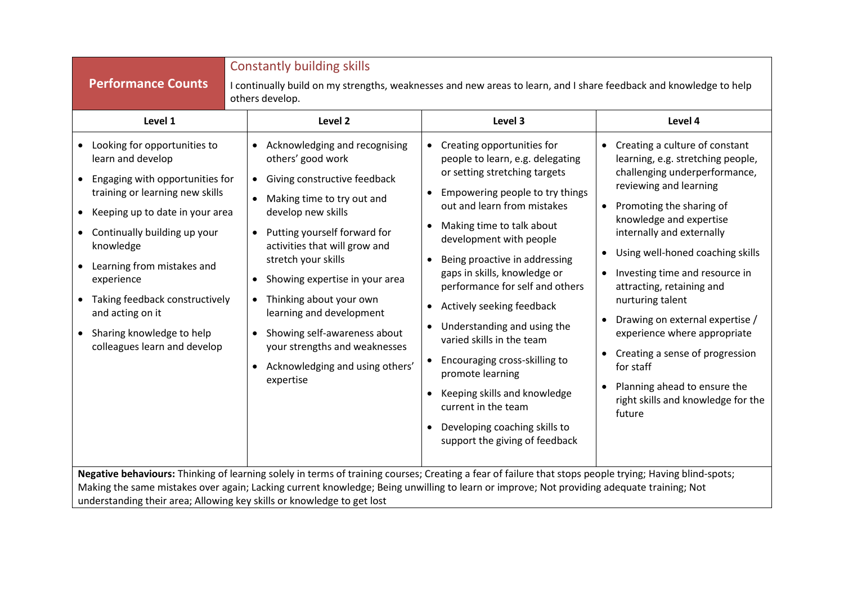|                                                                                                                                                                                                                                                                                                                                                                                     | <b>Constantly building skills</b>                                                                                                                                                                                                                                                                                                                                                                                                                                                                         |                                                                                                                                                                                                                                                                                                                                                                                                                                                                                                                                                                                                                        |                                                                                                                                                                                                                                                                                                                                                                                                                                                                                                                                                                                                               |
|-------------------------------------------------------------------------------------------------------------------------------------------------------------------------------------------------------------------------------------------------------------------------------------------------------------------------------------------------------------------------------------|-----------------------------------------------------------------------------------------------------------------------------------------------------------------------------------------------------------------------------------------------------------------------------------------------------------------------------------------------------------------------------------------------------------------------------------------------------------------------------------------------------------|------------------------------------------------------------------------------------------------------------------------------------------------------------------------------------------------------------------------------------------------------------------------------------------------------------------------------------------------------------------------------------------------------------------------------------------------------------------------------------------------------------------------------------------------------------------------------------------------------------------------|---------------------------------------------------------------------------------------------------------------------------------------------------------------------------------------------------------------------------------------------------------------------------------------------------------------------------------------------------------------------------------------------------------------------------------------------------------------------------------------------------------------------------------------------------------------------------------------------------------------|
| <b>Performance Counts</b>                                                                                                                                                                                                                                                                                                                                                           | others develop.                                                                                                                                                                                                                                                                                                                                                                                                                                                                                           | I continually build on my strengths, weaknesses and new areas to learn, and I share feedback and knowledge to help                                                                                                                                                                                                                                                                                                                                                                                                                                                                                                     |                                                                                                                                                                                                                                                                                                                                                                                                                                                                                                                                                                                                               |
| Level 1                                                                                                                                                                                                                                                                                                                                                                             | Level 2                                                                                                                                                                                                                                                                                                                                                                                                                                                                                                   | Level 3                                                                                                                                                                                                                                                                                                                                                                                                                                                                                                                                                                                                                | Level 4                                                                                                                                                                                                                                                                                                                                                                                                                                                                                                                                                                                                       |
| Looking for opportunities to<br>learn and develop<br>Engaging with opportunities for<br>training or learning new skills<br>Keeping up to date in your area<br>$\bullet$<br>Continually building up your<br>knowledge<br>Learning from mistakes and<br>experience<br>Taking feedback constructively<br>and acting on it<br>Sharing knowledge to help<br>colleagues learn and develop | Acknowledging and recognising<br>others' good work<br>Giving constructive feedback<br>$\bullet$<br>Making time to try out and<br>develop new skills<br>Putting yourself forward for<br>$\bullet$<br>activities that will grow and<br>stretch your skills<br>Showing expertise in your area<br>Thinking about your own<br>$\bullet$<br>learning and development<br>Showing self-awareness about<br>$\bullet$<br>your strengths and weaknesses<br>Acknowledging and using others'<br>$\bullet$<br>expertise | Creating opportunities for<br>people to learn, e.g. delegating<br>or setting stretching targets<br>Empowering people to try things<br>$\bullet$<br>out and learn from mistakes<br>Making time to talk about<br>development with people<br>Being proactive in addressing<br>gaps in skills, knowledge or<br>performance for self and others<br>• Actively seeking feedback<br>Understanding and using the<br>varied skills in the team<br>• Encouraging cross-skilling to<br>promote learning<br>Keeping skills and knowledge<br>current in the team<br>Developing coaching skills to<br>support the giving of feedback | Creating a culture of constant<br>$\bullet$<br>learning, e.g. stretching people,<br>challenging underperformance,<br>reviewing and learning<br>Promoting the sharing of<br>$\bullet$<br>knowledge and expertise<br>internally and externally<br>Using well-honed coaching skills<br>$\bullet$<br>Investing time and resource in<br>attracting, retaining and<br>nurturing talent<br>Drawing on external expertise /<br>experience where appropriate<br>Creating a sense of progression<br>$\bullet$<br>for staff<br>Planning ahead to ensure the<br>$\bullet$<br>right skills and knowledge for the<br>future |
| Negative behaviours: Thinking of learning solely in terms of training courses; Creating a fear of failure that stops people trying; Having blind-spots;<br>Making the same mistakes over again; Lacking current knowledge; Being unwilling to learn or improve; Not providing adequate training; Not<br>understanding their area; Allowing key skills or knowledge to get lost      |                                                                                                                                                                                                                                                                                                                                                                                                                                                                                                           |                                                                                                                                                                                                                                                                                                                                                                                                                                                                                                                                                                                                                        |                                                                                                                                                                                                                                                                                                                                                                                                                                                                                                                                                                                                               |